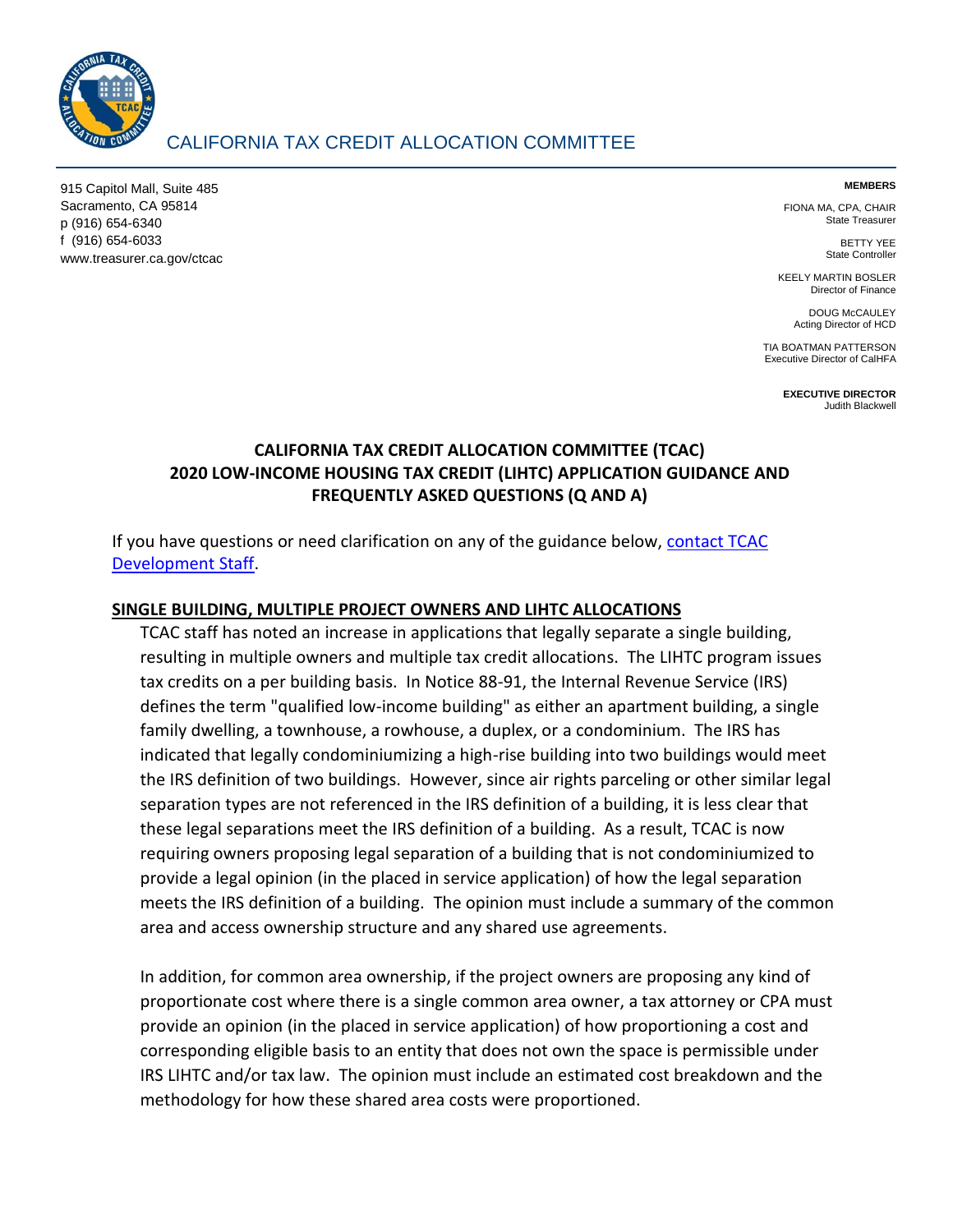

# CALIFORNIA TAX CREDIT ALLOCATION COMMITTEE

915 Capitol Mall, Suite 485 Sacramento, CA 95814 p (916) 654-6340 f (916) 654-6033 www.treasurer.ca.gov/ctcac

#### **MEMBERS**

FIONA MA, CPA, CHAIR State Treasurer

> BETTY YEE State Controller

KEELY MARTIN BOSLER Director of Finance

DOUG McCAULEY Acting Director of HCD

TIA BOATMAN PATTERSON Executive Director of CalHFA

> **EXECUTIVE DIRECTOR** Judith Blackwell

# **CALIFORNIA TAX CREDIT ALLOCATION COMMITTEE (TCAC) 2020 LOW-INCOME HOUSING TAX CREDIT (LIHTC) APPLICATION GUIDANCE AND FREQUENTLY ASKED QUESTIONS (Q AND A)**

If you have questions or need clarification on any of the guidance below, [contact TCAC](https://www.treasurer.ca.gov/ctcac/contacts.asp)  [Development Staff.](https://www.treasurer.ca.gov/ctcac/contacts.asp)

#### **SINGLE BUILDING, MULTIPLE PROJECT OWNERS AND LIHTC ALLOCATIONS**

TCAC staff has noted an increase in applications that legally separate a single building, resulting in multiple owners and multiple tax credit allocations. The LIHTC program issues tax credits on a per building basis. In Notice 88-91, the Internal Revenue Service (IRS) defines the term "qualified low-income building" as either an apartment building, a single family dwelling, a townhouse, a rowhouse, a duplex, or a condominium. The IRS has indicated that legally condominiumizing a high-rise building into two buildings would meet the IRS definition of two buildings. However, since air rights parceling or other similar legal separation types are not referenced in the IRS definition of a building, it is less clear that these legal separations meet the IRS definition of a building. As a result, TCAC is now requiring owners proposing legal separation of a building that is not condominiumized to provide a legal opinion (in the placed in service application) of how the legal separation meets the IRS definition of a building. The opinion must include a summary of the common area and access ownership structure and any shared use agreements.

In addition, for common area ownership, if the project owners are proposing any kind of proportionate cost where there is a single common area owner, a tax attorney or CPA must provide an opinion (in the placed in service application) of how proportioning a cost and corresponding eligible basis to an entity that does not own the space is permissible under IRS LIHTC and/or tax law. The opinion must include an estimated cost breakdown and the methodology for how these shared area costs were proportioned.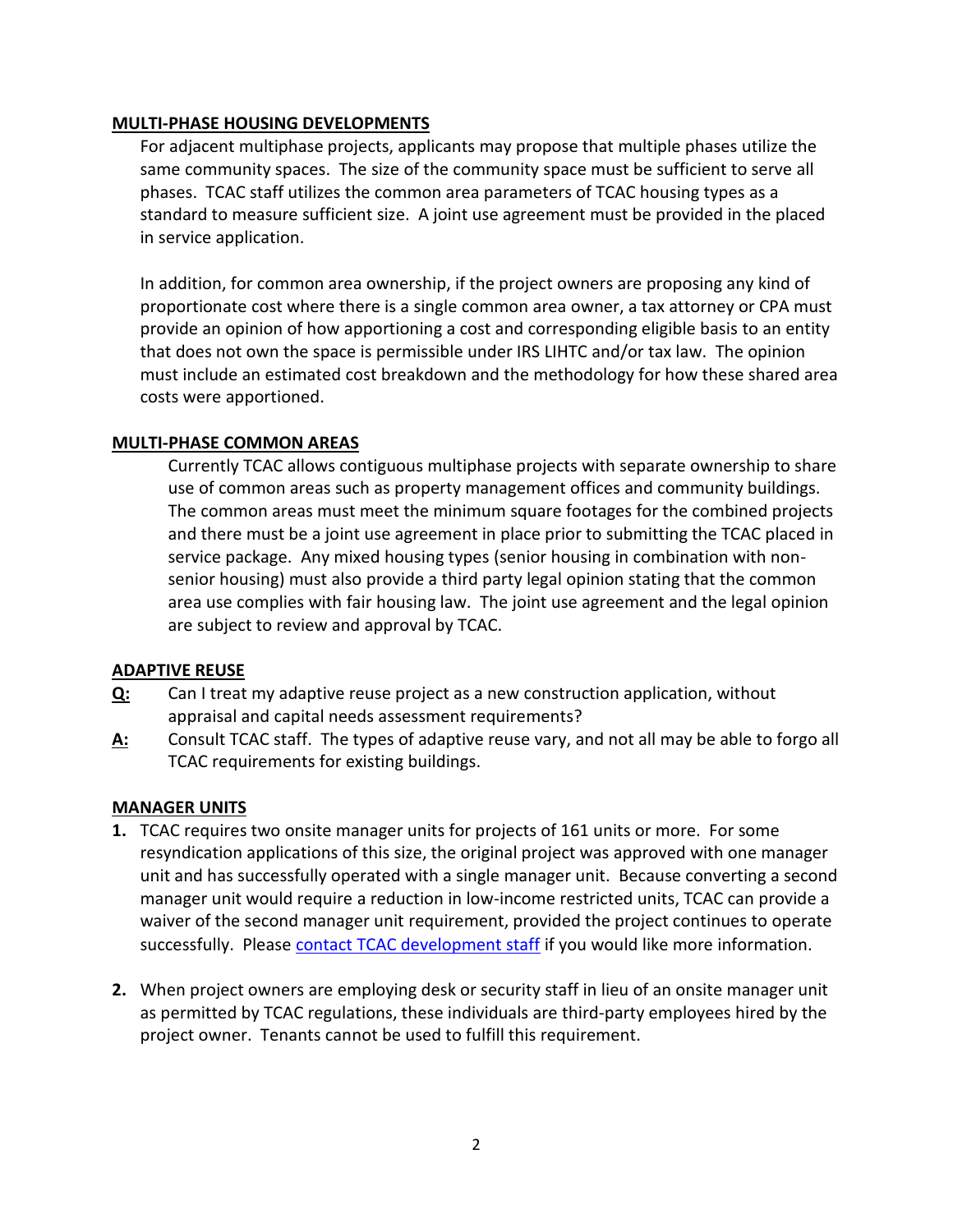#### **MULTI-PHASE HOUSING DEVELOPMENTS**

For adjacent multiphase projects, applicants may propose that multiple phases utilize the same community spaces. The size of the community space must be sufficient to serve all phases. TCAC staff utilizes the common area parameters of TCAC housing types as a standard to measure sufficient size. A joint use agreement must be provided in the placed in service application.

In addition, for common area ownership, if the project owners are proposing any kind of proportionate cost where there is a single common area owner, a tax attorney or CPA must provide an opinion of how apportioning a cost and corresponding eligible basis to an entity that does not own the space is permissible under IRS LIHTC and/or tax law. The opinion must include an estimated cost breakdown and the methodology for how these shared area costs were apportioned.

### **MULTI-PHASE COMMON AREAS**

Currently TCAC allows contiguous multiphase projects with separate ownership to share use of common areas such as property management offices and community buildings. The common areas must meet the minimum square footages for the combined projects and there must be a joint use agreement in place prior to submitting the TCAC placed in service package. Any mixed housing types (senior housing in combination with nonsenior housing) must also provide a third party legal opinion stating that the common area use complies with fair housing law. The joint use agreement and the legal opinion are subject to review and approval by TCAC.

# **ADAPTIVE REUSE**

- **Q:** Can I treat my adaptive reuse project as a new construction application, without appraisal and capital needs assessment requirements?
- **A:** Consult TCAC staff. The types of adaptive reuse vary, and not all may be able to forgo all TCAC requirements for existing buildings.

# **MANAGER UNITS**

- **1.** TCAC requires two onsite manager units for projects of 161 units or more. For some resyndication applications of this size, the original project was approved with one manager unit and has successfully operated with a single manager unit. Because converting a second manager unit would require a reduction in low-income restricted units, TCAC can provide a waiver of the second manager unit requirement, provided the project continues to operate successfully. Please [contact TCAC development staff](https://www.treasurer.ca.gov/ctcac/assignments.asp) if you would like more information.
- **2.** When project owners are employing desk or security staff in lieu of an onsite manager unit as permitted by TCAC regulations, these individuals are third-party employees hired by the project owner. Tenants cannot be used to fulfill this requirement.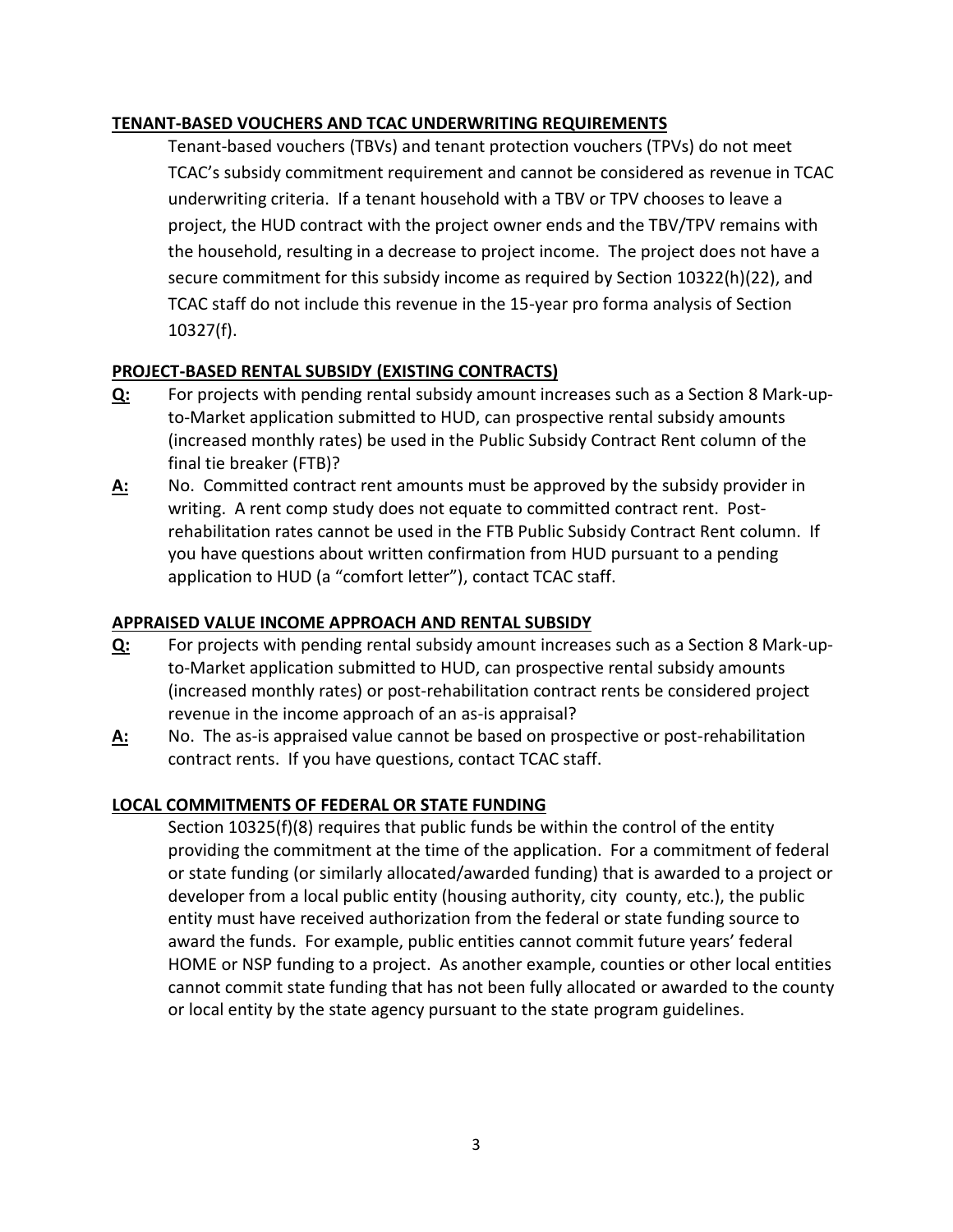# **TENANT-BASED VOUCHERS AND TCAC UNDERWRITING REQUIREMENTS**

Tenant-based vouchers (TBVs) and tenant protection vouchers (TPVs) do not meet TCAC's subsidy commitment requirement and cannot be considered as revenue in TCAC underwriting criteria. If a tenant household with a TBV or TPV chooses to leave a project, the HUD contract with the project owner ends and the TBV/TPV remains with the household, resulting in a decrease to project income. The project does not have a secure commitment for this subsidy income as required by Section 10322(h)(22), and TCAC staff do not include this revenue in the 15-year pro forma analysis of Section 10327(f).

# **PROJECT-BASED RENTAL SUBSIDY (EXISTING CONTRACTS)**

- **Q:** For projects with pending rental subsidy amount increases such as a Section 8 Mark-upto-Market application submitted to HUD, can prospective rental subsidy amounts (increased monthly rates) be used in the Public Subsidy Contract Rent column of the final tie breaker (FTB)?
- **A:** No. Committed contract rent amounts must be approved by the subsidy provider in writing. A rent comp study does not equate to committed contract rent. Postrehabilitation rates cannot be used in the FTB Public Subsidy Contract Rent column. If you have questions about written confirmation from HUD pursuant to a pending application to HUD (a "comfort letter"), contact TCAC staff.

# **APPRAISED VALUE INCOME APPROACH AND RENTAL SUBSIDY**

- **Q:** For projects with pending rental subsidy amount increases such as a Section 8 Mark-upto-Market application submitted to HUD, can prospective rental subsidy amounts (increased monthly rates) or post-rehabilitation contract rents be considered project revenue in the income approach of an as-is appraisal?
- **A:** No. The as-is appraised value cannot be based on prospective or post-rehabilitation contract rents. If you have questions, contact TCAC staff.

# **LOCAL COMMITMENTS OF FEDERAL OR STATE FUNDING**

Section 10325(f)(8) requires that public funds be within the control of the entity providing the commitment at the time of the application. For a commitment of federal or state funding (or similarly allocated/awarded funding) that is awarded to a project or developer from a local public entity (housing authority, city county, etc.), the public entity must have received authorization from the federal or state funding source to award the funds. For example, public entities cannot commit future years' federal HOME or NSP funding to a project. As another example, counties or other local entities cannot commit state funding that has not been fully allocated or awarded to the county or local entity by the state agency pursuant to the state program guidelines.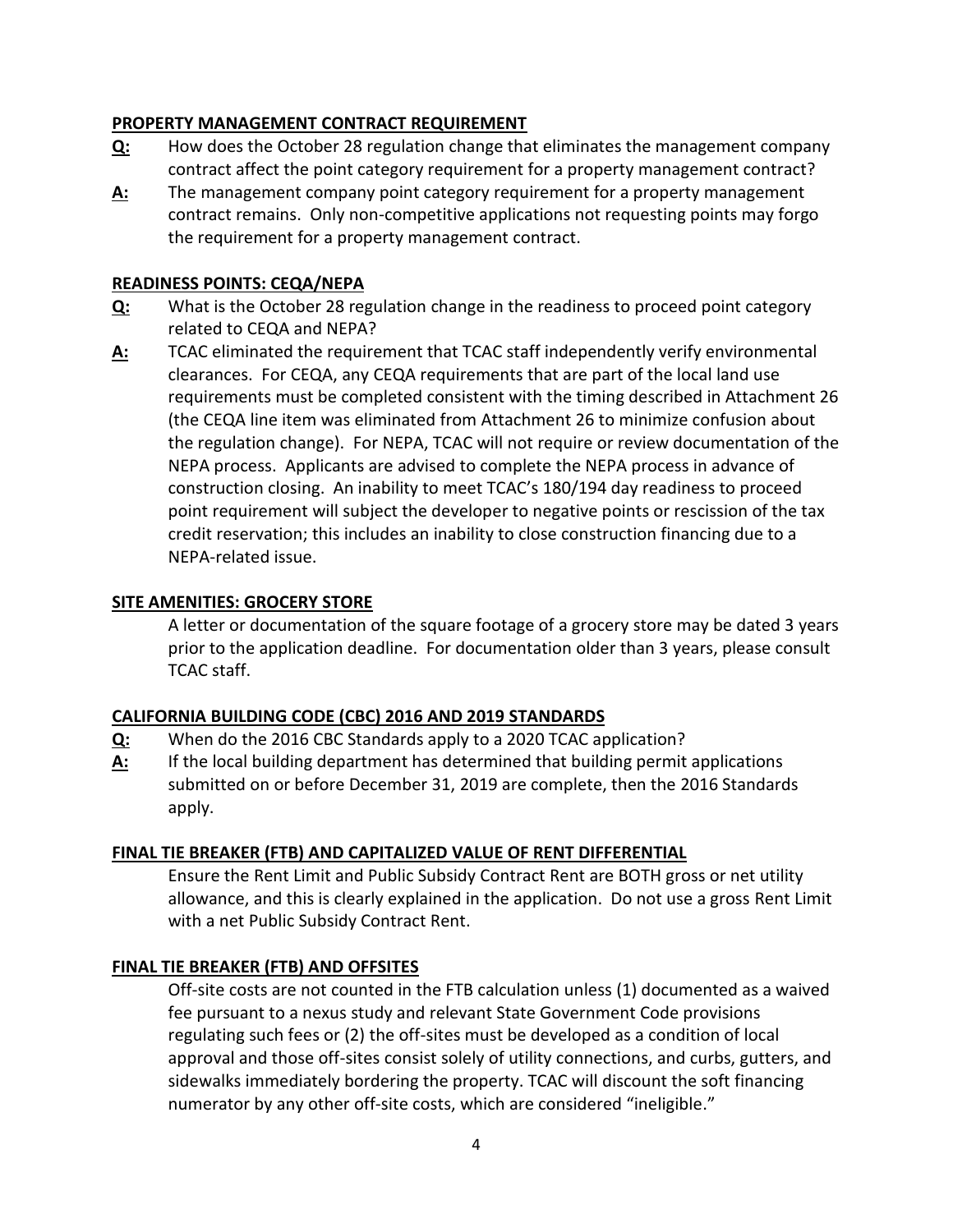# **PROPERTY MANAGEMENT CONTRACT REQUIREMENT**

- **Q:** How does the October 28 regulation change that eliminates the management company contract affect the point category requirement for a property management contract?
- **A:** The management company point category requirement for a property management contract remains. Only non-competitive applications not requesting points may forgo the requirement for a property management contract.

### **READINESS POINTS: CEQA/NEPA**

- **Q:** What is the October 28 regulation change in the readiness to proceed point category related to CEQA and NEPA?
- **A:** TCAC eliminated the requirement that TCAC staff independently verify environmental clearances. For CEQA, any CEQA requirements that are part of the local land use requirements must be completed consistent with the timing described in Attachment 26 (the CEQA line item was eliminated from Attachment 26 to minimize confusion about the regulation change). For NEPA, TCAC will not require or review documentation of the NEPA process. Applicants are advised to complete the NEPA process in advance of construction closing. An inability to meet TCAC's 180/194 day readiness to proceed point requirement will subject the developer to negative points or rescission of the tax credit reservation; this includes an inability to close construction financing due to a NEPA-related issue.

### **SITE AMENITIES: GROCERY STORE**

A letter or documentation of the square footage of a grocery store may be dated 3 years prior to the application deadline. For documentation older than 3 years, please consult TCAC staff.

#### **CALIFORNIA BUILDING CODE (CBC) 2016 AND 2019 STANDARDS**

- **Q:** When do the 2016 CBC Standards apply to a 2020 TCAC application?
- **A:** If the local building department has determined that building permit applications submitted on or before December 31, 2019 are complete, then the 2016 Standards apply.

#### **FINAL TIE BREAKER (FTB) AND CAPITALIZED VALUE OF RENT DIFFERENTIAL**

Ensure the Rent Limit and Public Subsidy Contract Rent are BOTH gross or net utility allowance, and this is clearly explained in the application. Do not use a gross Rent Limit with a net Public Subsidy Contract Rent.

#### **FINAL TIE BREAKER (FTB) AND OFFSITES**

Off-site costs are not counted in the FTB calculation unless (1) documented as a waived fee pursuant to a nexus study and relevant State Government Code provisions regulating such fees or (2) the off-sites must be developed as a condition of local approval and those off-sites consist solely of utility connections, and curbs, gutters, and sidewalks immediately bordering the property. TCAC will discount the soft financing numerator by any other off-site costs, which are considered "ineligible."